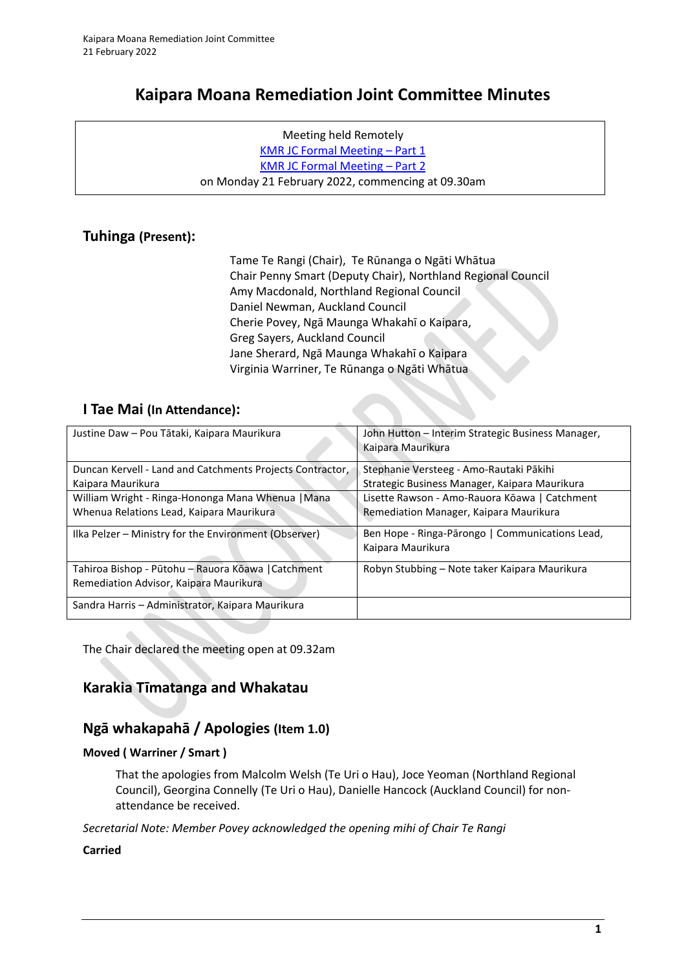# **Kaipara Moana Remediation Joint Committee Minutes**

Meeting held Remotely [KMR JC Formal Meeting](https://youtu.be/UebQdow9CWk) – Part 1 [KMR JC Formal Meeting](https://youtu.be/CbwRL_1scck) – Part 2 on Monday 21 February 2022, commencing at 09.30am

### **Tuhinga (Present):**

| Tame Te Rangi (Chair), Te Rūnanga o Ngāti Whātua             |  |  |
|--------------------------------------------------------------|--|--|
| Chair Penny Smart (Deputy Chair), Northland Regional Council |  |  |
| Amy Macdonald, Northland Regional Council                    |  |  |
| Daniel Newman, Auckland Council                              |  |  |
| Cherie Povey, Ngā Maunga Whakahī o Kaipara,                  |  |  |
| Greg Sayers, Auckland Council                                |  |  |
| Jane Sherard, Ngā Maunga Whakahī o Kaipara                   |  |  |
| Virginia Warriner, Te Rūnanga o Ngāti Whātua                 |  |  |

### **I Tae Mai (In Attendance):**

| Justine Daw - Pou Tātaki, Kaipara Maurikura                                                   | John Hutton – Interim Strategic Business Manager,<br>Kaipara Maurikura                   |
|-----------------------------------------------------------------------------------------------|------------------------------------------------------------------------------------------|
| Duncan Kervell - Land and Catchments Projects Contractor,<br>Kaipara Maurikura                | Stephanie Versteeg - Amo-Rautaki Pākihi<br>Strategic Business Manager, Kaipara Maurikura |
| William Wright - Ringa-Hononga Mana Whenua   Mana<br>Whenua Relations Lead, Kaipara Maurikura | Lisette Rawson - Amo-Rauora Kōawa   Catchment<br>Remediation Manager, Kaipara Maurikura  |
| Ilka Pelzer – Ministry for the Environment (Observer)                                         | Ben Hope - Ringa-Pārongo   Communications Lead,<br>Kaipara Maurikura                     |
| Tahiroa Bishop - Pūtohu – Rauora Kōawa   Catchment<br>Remediation Advisor, Kaipara Maurikura  | Robyn Stubbing - Note taker Kaipara Maurikura                                            |
| Sandra Harris - Administrator, Kaipara Maurikura                                              |                                                                                          |

The Chair declared the meeting open at 09.32am

# **Karakia Tīmatanga and Whakatau**

### **Ngā whakapahā / Apologies (Item 1.0)**

### **Moved ( Warriner / Smart )**

That the apologies from Malcolm Welsh (Te Uri o Hau), Joce Yeoman (Northland Regional Council), Georgina Connelly (Te Uri o Hau), Danielle Hancock (Auckland Council) for nonattendance be received.

*Secretarial Note: Member Povey acknowledged the opening mihi of Chair Te Rangi* 

### **Carried**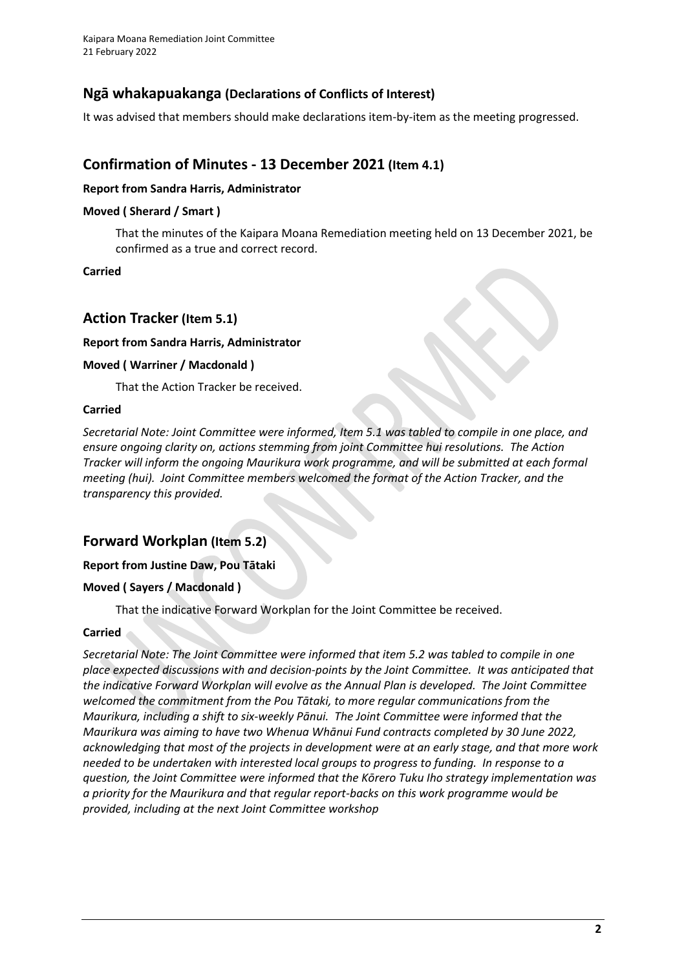### **Ngā whakapuakanga (Declarations of Conflicts of Interest)**

It was advised that members should make declarations item-by-item as the meeting progressed.

# **Confirmation of Minutes - 13 December 2021 (Item 4.1)**

#### **Report from Sandra Harris, Administrator**

#### **Moved ( Sherard / Smart )**

That the minutes of the Kaipara Moana Remediation meeting held on 13 December 2021, be confirmed as a true and correct record.

**Carried**

### **Action Tracker (Item 5.1)**

#### **Report from Sandra Harris, Administrator**

#### **Moved ( Warriner / Macdonald )**

That the Action Tracker be received.

#### **Carried**

*Secretarial Note: Joint Committee were informed, Item 5.1 was tabled to compile in one place, and ensure ongoing clarity on, actions stemming from joint Committee hui resolutions. The Action Tracker will inform the ongoing Maurikura work programme, and will be submitted at each formal meeting (hui). Joint Committee members welcomed the format of the Action Tracker, and the transparency this provided.* 

### **Forward Workplan (Item 5.2)**

### **Report from Justine Daw, Pou Tātaki**

### **Moved ( Sayers / Macdonald )**

That the indicative Forward Workplan for the Joint Committee be received.

### **Carried**

*Secretarial Note: The Joint Committee were informed that item 5.2 was tabled to compile in one place expected discussions with and decision-points by the Joint Committee. It was anticipated that the indicative Forward Workplan will evolve as the Annual Plan is developed. The Joint Committee welcomed the commitment from the Pou Tātaki, to more regular communications from the Maurikura, including a shift to six-weekly Pānui. The Joint Committee were informed that the Maurikura was aiming to have two Whenua Whānui Fund contracts completed by 30 June 2022, acknowledging that most of the projects in development were at an early stage, and that more work needed to be undertaken with interested local groups to progress to funding. In response to a question, the Joint Committee were informed that the Kōrero Tuku Iho strategy implementation was a priority for the Maurikura and that regular report-backs on this work programme would be provided, including at the next Joint Committee workshop*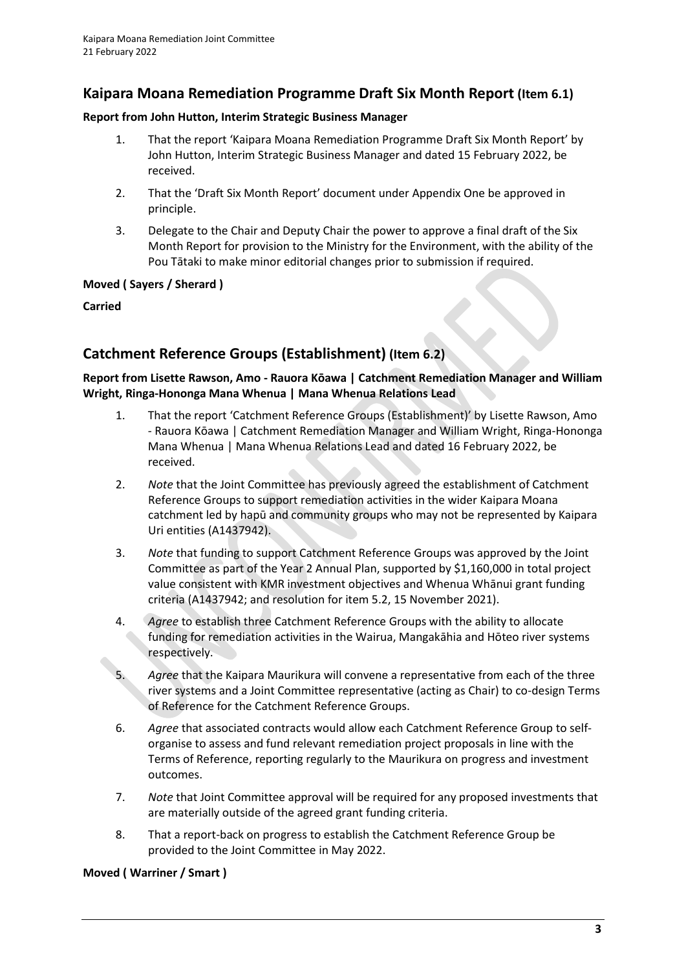### **Kaipara Moana Remediation Programme Draft Six Month Report (Item 6.1)**

#### **Report from John Hutton, Interim Strategic Business Manager**

- 1. That the report 'Kaipara Moana Remediation Programme Draft Six Month Report' by John Hutton, Interim Strategic Business Manager and dated 15 February 2022, be received.
- 2. That the 'Draft Six Month Report' document under Appendix One be approved in principle.
- 3. Delegate to the Chair and Deputy Chair the power to approve a final draft of the Six Month Report for provision to the Ministry for the Environment, with the ability of the Pou Tātaki to make minor editorial changes prior to submission if required.

**Moved ( Sayers / Sherard )**

**Carried**

# **Catchment Reference Groups (Establishment) (Item 6.2)**

### **Report from Lisette Rawson, Amo - Rauora Kōawa | Catchment Remediation Manager and William Wright, Ringa-Hononga Mana Whenua | Mana Whenua Relations Lead**

- 1. That the report 'Catchment Reference Groups (Establishment)' by Lisette Rawson, Amo - Rauora Kōawa | Catchment Remediation Manager and William Wright, Ringa-Hononga Mana Whenua | Mana Whenua Relations Lead and dated 16 February 2022, be received.
- 2. *Note* that the Joint Committee has previously agreed the establishment of Catchment Reference Groups to support remediation activities in the wider Kaipara Moana catchment led by hapū and community groups who may not be represented by Kaipara Uri entities (A1437942).
- 3. *Note* that funding to support Catchment Reference Groups was approved by the Joint Committee as part of the Year 2 Annual Plan, supported by \$1,160,000 in total project value consistent with KMR investment objectives and Whenua Whānui grant funding criteria (A1437942; and resolution for item 5.2, 15 November 2021).
- 4. *Agree* to establish three Catchment Reference Groups with the ability to allocate funding for remediation activities in the Wairua, Mangakāhia and Hōteo river systems respectively.
- 5. *Agree* that the Kaipara Maurikura will convene a representative from each of the three river systems and a Joint Committee representative (acting as Chair) to co-design Terms of Reference for the Catchment Reference Groups.
- 6. *Agree* that associated contracts would allow each Catchment Reference Group to selforganise to assess and fund relevant remediation project proposals in line with the Terms of Reference, reporting regularly to the Maurikura on progress and investment outcomes.
- 7. *Note* that Joint Committee approval will be required for any proposed investments that are materially outside of the agreed grant funding criteria.
- 8. That a report-back on progress to establish the Catchment Reference Group be provided to the Joint Committee in May 2022.

### **Moved ( Warriner / Smart )**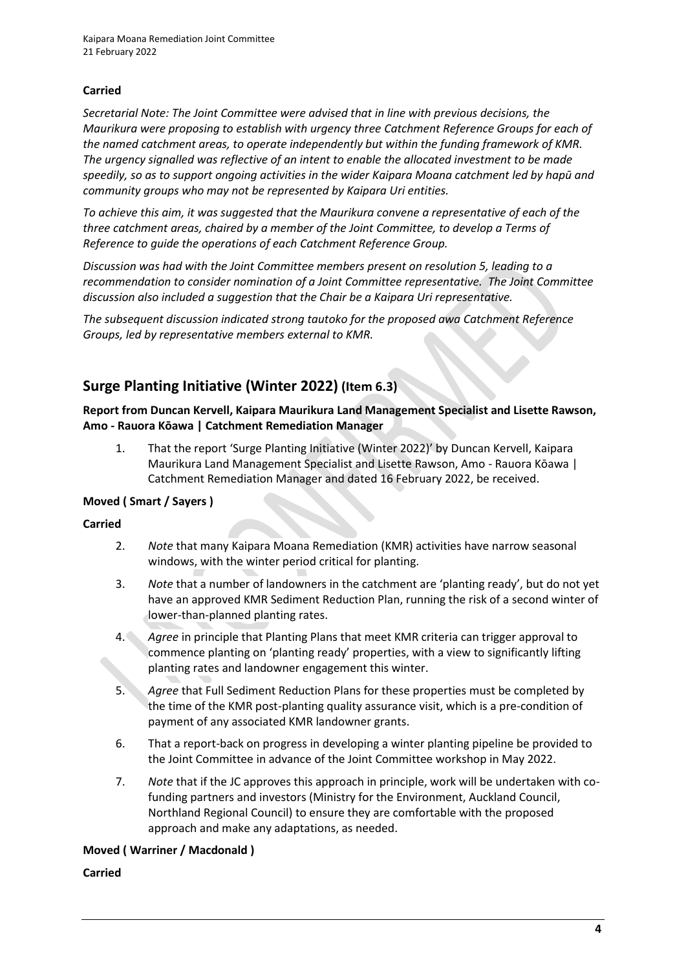### **Carried**

*Secretarial Note: The Joint Committee were advised that in line with previous decisions, the Maurikura were proposing to establish with urgency three Catchment Reference Groups for each of the named catchment areas, to operate independently but within the funding framework of KMR. The urgency signalled was reflective of an intent to enable the allocated investment to be made speedily, so as to support ongoing activities in the wider Kaipara Moana catchment led by hapū and community groups who may not be represented by Kaipara Uri entities.*

*To achieve this aim, it was suggested that the Maurikura convene a representative of each of the three catchment areas, chaired by a member of the Joint Committee, to develop a Terms of Reference to guide the operations of each Catchment Reference Group.* 

*Discussion was had with the Joint Committee members present on resolution 5, leading to a recommendation to consider nomination of a Joint Committee representative. The Joint Committee discussion also included a suggestion that the Chair be a Kaipara Uri representative.* 

*The subsequent discussion indicated strong tautoko for the proposed awa Catchment Reference Groups, led by representative members external to KMR.* 

# **Surge Planting Initiative (Winter 2022) (Item 6.3)**

**Report from Duncan Kervell, Kaipara Maurikura Land Management Specialist and Lisette Rawson, Amo - Rauora Kōawa | Catchment Remediation Manager**

1. That the report 'Surge Planting Initiative (Winter 2022)' by Duncan Kervell, Kaipara Maurikura Land Management Specialist and Lisette Rawson, Amo - Rauora Kōawa | Catchment Remediation Manager and dated 16 February 2022, be received.

### **Moved ( Smart / Sayers )**

#### **Carried**

- 2. *Note* that many Kaipara Moana Remediation (KMR) activities have narrow seasonal windows, with the winter period critical for planting.
- 3. *Note* that a number of landowners in the catchment are 'planting ready', but do not yet have an approved KMR Sediment Reduction Plan, running the risk of a second winter of lower-than-planned planting rates.
- 4. *Agree* in principle that Planting Plans that meet KMR criteria can trigger approval to commence planting on 'planting ready' properties, with a view to significantly lifting planting rates and landowner engagement this winter.
- 5. *Agree* that Full Sediment Reduction Plans for these properties must be completed by the time of the KMR post-planting quality assurance visit, which is a pre-condition of payment of any associated KMR landowner grants.
- 6. That a report-back on progress in developing a winter planting pipeline be provided to the Joint Committee in advance of the Joint Committee workshop in May 2022.
- 7. *Note* that if the JC approves this approach in principle, work will be undertaken with cofunding partners and investors (Ministry for the Environment, Auckland Council, Northland Regional Council) to ensure they are comfortable with the proposed approach and make any adaptations, as needed.

### **Moved ( Warriner / Macdonald )**

#### **Carried**